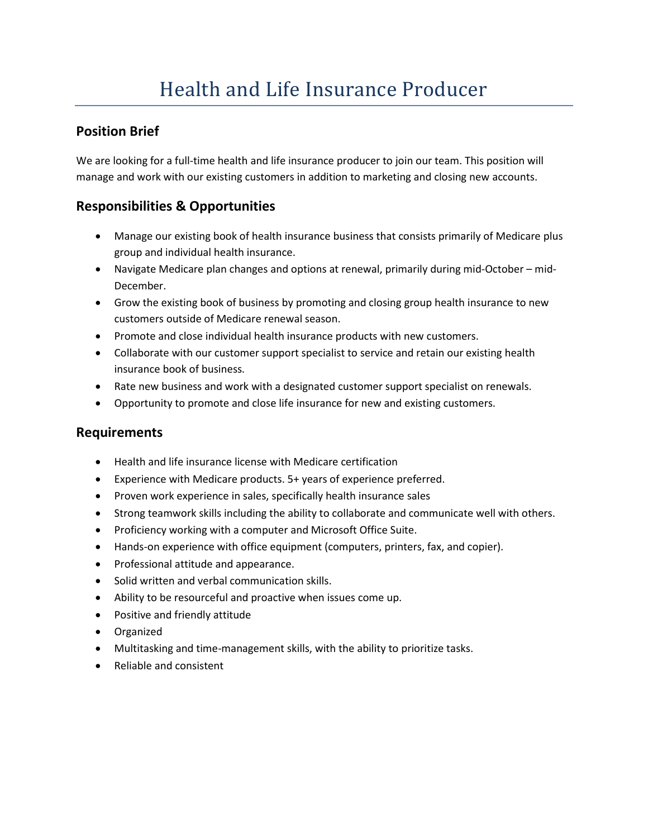## **Position Brief**

We are looking for a full-time health and life insurance producer to join our team. This position will manage and work with our existing customers in addition to marketing and closing new accounts.

# **Responsibilities & Opportunities**

- Manage our existing book of health insurance business that consists primarily of Medicare plus group and individual health insurance.
- Navigate Medicare plan changes and options at renewal, primarily during mid-October mid-December.
- Grow the existing book of business by promoting and closing group health insurance to new customers outside of Medicare renewal season.
- Promote and close individual health insurance products with new customers.
- Collaborate with our customer support specialist to service and retain our existing health insurance book of business.
- Rate new business and work with a designated customer support specialist on renewals.
- Opportunity to promote and close life insurance for new and existing customers.

#### **Requirements**

- Health and life insurance license with Medicare certification
- Experience with Medicare products. 5+ years of experience preferred.
- Proven work experience in sales, specifically health insurance sales
- Strong teamwork skills including the ability to collaborate and communicate well with others.
- Proficiency working with a computer and Microsoft Office Suite.
- Hands-on experience with office equipment (computers, printers, fax, and copier).
- Professional attitude and appearance.
- Solid written and verbal communication skills.
- Ability to be resourceful and proactive when issues come up.
- Positive and friendly attitude
- Organized
- Multitasking and time-management skills, with the ability to prioritize tasks.
- Reliable and consistent